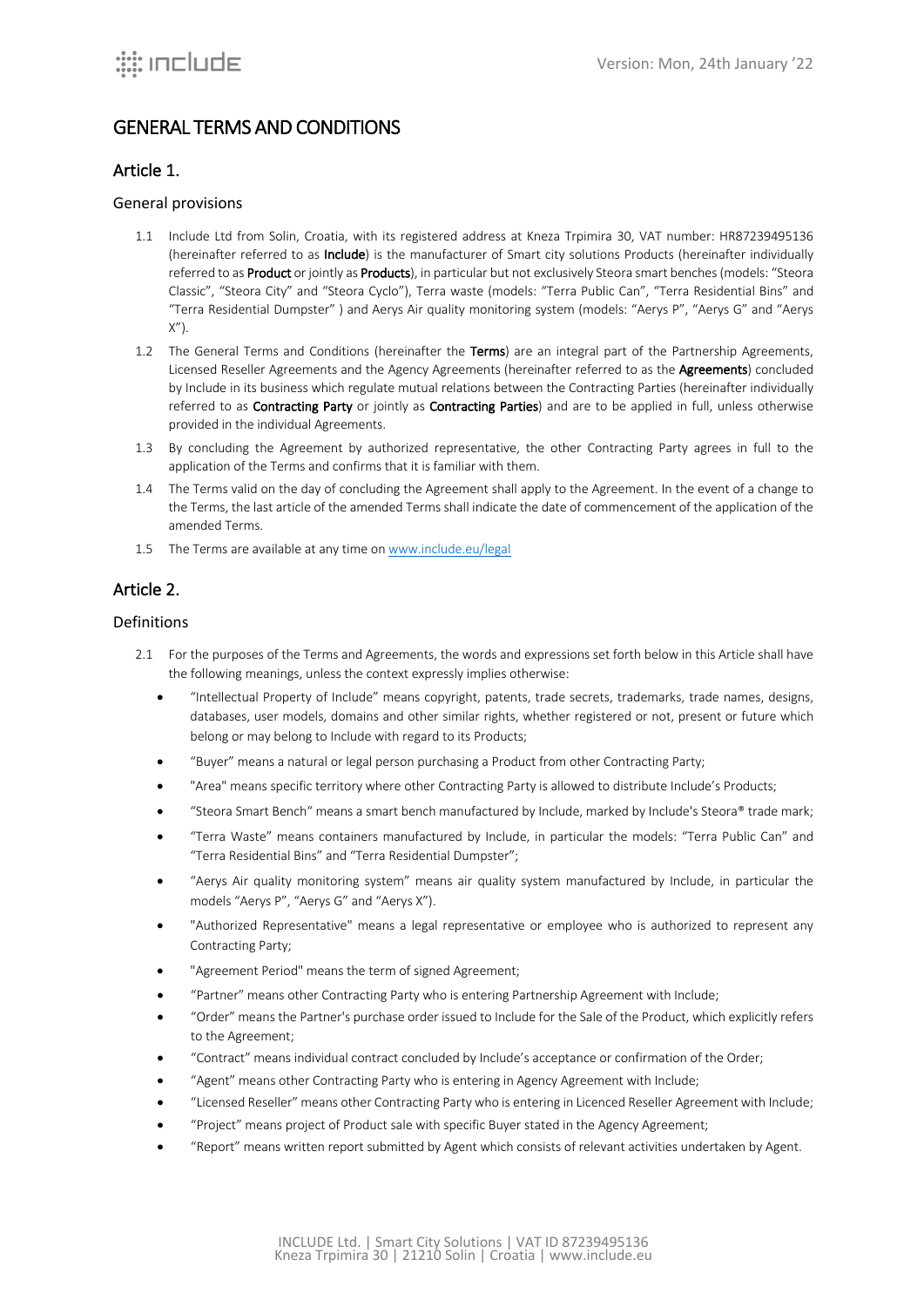# GENERAL TERMS AND CONDITIONS

## Article 1.

### General provisions

- 1.1 Include Ltd from Solin, Croatia, with its registered address at Kneza Trpimira 30, VAT number: HR87239495136 (hereinafter referred to as Include) is the manufacturer of Smart city solutions Products (hereinafter individually referred to as Product or jointly as Products), in particular but not exclusively Steora smart benches (models: "Steora Classic", "Steora City" and "Steora Cyclo"), Terra waste (models: "Terra Public Can", "Terra Residential Bins" and "Terra Residential Dumpster" ) and Aerys Air quality monitoring system (models: "Aerys P", "Aerys G" and "Aerys  $X''$ ).
- 1.2 The General Terms and Conditions (hereinafter the Terms) are an integral part of the Partnership Agreements, Licensed Reseller Agreements and the Agency Agreements (hereinafter referred to as the Agreements) concluded by Include in its business which regulate mutual relations between the Contracting Parties (hereinafter individually referred to as Contracting Party or jointly as Contracting Parties) and are to be applied in full, unless otherwise provided in the individual Agreements.
- 1.3 By concluding the Agreement by authorized representative, the other Contracting Party agrees in full to the application of the Terms and confirms that it is familiar with them.
- 1.4 The Terms valid on the day of concluding the Agreement shall apply to the Agreement. In the event of a change to the Terms, the last article of the amended Terms shall indicate the date of commencement of the application of the amended Terms.
- 1.5 The Terms are available at any time on www.include.eu/legal

## Article 2.

#### Definitions

- 2.1 For the purposes of the Terms and Agreements, the words and expressions set forth below in this Article shall have the following meanings, unless the context expressly implies otherwise:
	- "Intellectual Property of Include" means copyright, patents, trade secrets, trademarks, trade names, designs, databases, user models, domains and other similar rights, whether registered or not, present or future which belong or may belong to Include with regard to its Products;
	- "Buyer" means a natural or legal person purchasing a Product from other Contracting Party;
	- "Area" means specific territory where other Contracting Party is allowed to distribute Include's Products;
	- "Steora Smart Bench" means a smart bench manufactured by Include, marked by Include's Steora® trade mark;
	- "Terra Waste" means containers manufactured by Include, in particular the models: "Terra Public Can" and "Terra Residential Bins" and "Terra Residential Dumpster";
	- "Aerys Air quality monitoring system" means air quality system manufactured by Include, in particular the models "Aerys P", "Aerys G" and "Aerys X").
	- "Authorized Representative" means a legal representative or employee who is authorized to represent any Contracting Party;
	- "Agreement Period" means the term of signed Agreement;
	- "Partner" means other Contracting Party who is entering Partnership Agreement with Include;
	- "Order" means the Partner's purchase order issued to Include for the Sale of the Product, which explicitly refers to the Agreement;
	- "Contract" means individual contract concluded by Include's acceptance or confirmation of the Order;
	- "Agent" means other Contracting Party who is entering in Agency Agreement with Include;
	- "Licensed Reseller" means other Contracting Party who is entering in Licenced Reseller Agreement with Include;
	- "Project" means project of Product sale with specific Buyer stated in the Agency Agreement;
	- "Report" means written report submitted by Agent which consists of relevant activities undertaken by Agent.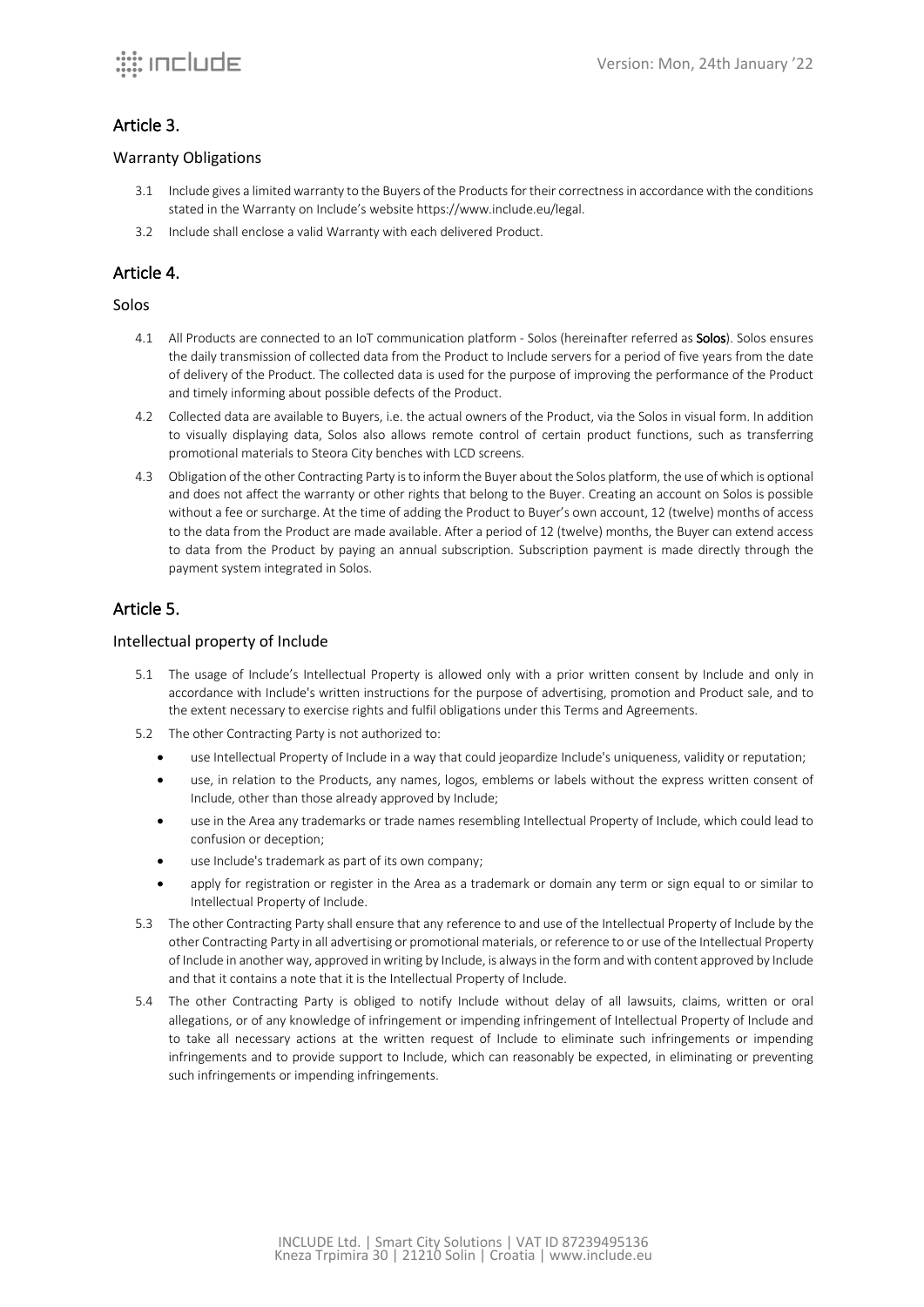### Article 3.

#### Warranty Obligations

- 3.1 Include gives a limited warranty to the Buyers of the Products for their correctness in accordance with the conditions stated in the Warranty on Include's website https://www.include.eu/legal.
- 3.2 Include shall enclose a valid Warranty with each delivered Product.

## Article 4.

### Solos

- 4.1 All Products are connected to an IoT communication platform Solos (hereinafter referred as **Solos**). Solos ensures the daily transmission of collected data from the Product to Include servers for a period of five years from the date of delivery of the Product. The collected data is used for the purpose of improving the performance of the Product and timely informing about possible defects of the Product.
- 4.2 Collected data are available to Buyers, i.e. the actual owners of the Product, via the Solos in visual form. In addition to visually displaying data, Solos also allows remote control of certain product functions, such as transferring promotional materials to Steora City benches with LCD screens.
- 4.3 Obligation of the other Contracting Party is to inform the Buyer about the Solos platform, the use of which is optional and does not affect the warranty or other rights that belong to the Buyer. Creating an account on Solos is possible without a fee or surcharge. At the time of adding the Product to Buyer's own account, 12 (twelve) months of access to the data from the Product are made available. After a period of 12 (twelve) months, the Buyer can extend access to data from the Product by paying an annual subscription. Subscription payment is made directly through the payment system integrated in Solos.

## Article 5.

### Intellectual property of Include

- 5.1 The usage of Include's Intellectual Property is allowed only with a prior written consent by Include and only in accordance with Include's written instructions for the purpose of advertising, promotion and Product sale, and to the extent necessary to exercise rights and fulfil obligations under this Terms and Agreements.
- 5.2 The other Contracting Party is not authorized to:
	- use Intellectual Property of Include in a way that could jeopardize Include's uniqueness, validity or reputation;
	- use, in relation to the Products, any names, logos, emblems or labels without the express written consent of Include, other than those already approved by Include;
	- use in the Area any trademarks or trade names resembling Intellectual Property of Include, which could lead to confusion or deception;
	- use Include's trademark as part of its own company;
	- apply for registration or register in the Area as a trademark or domain any term or sign equal to or similar to Intellectual Property of Include.
- 5.3 The other Contracting Party shall ensure that any reference to and use of the Intellectual Property of Include by the other Contracting Party in all advertising or promotional materials, or reference to or use of the Intellectual Property of Include in another way, approved inwriting by Include, is always in the form and with content approved by Include and that it contains a note that it is the Intellectual Property of Include.
- 5.4 The other Contracting Party is obliged to notify Include without delay of all lawsuits, claims, written or oral allegations, or of any knowledge of infringement or impending infringement of Intellectual Property of Include and to take all necessary actions at the written request of Include to eliminate such infringements or impending infringements and to provide support to Include, which can reasonably be expected, in eliminating or preventing such infringements or impending infringements.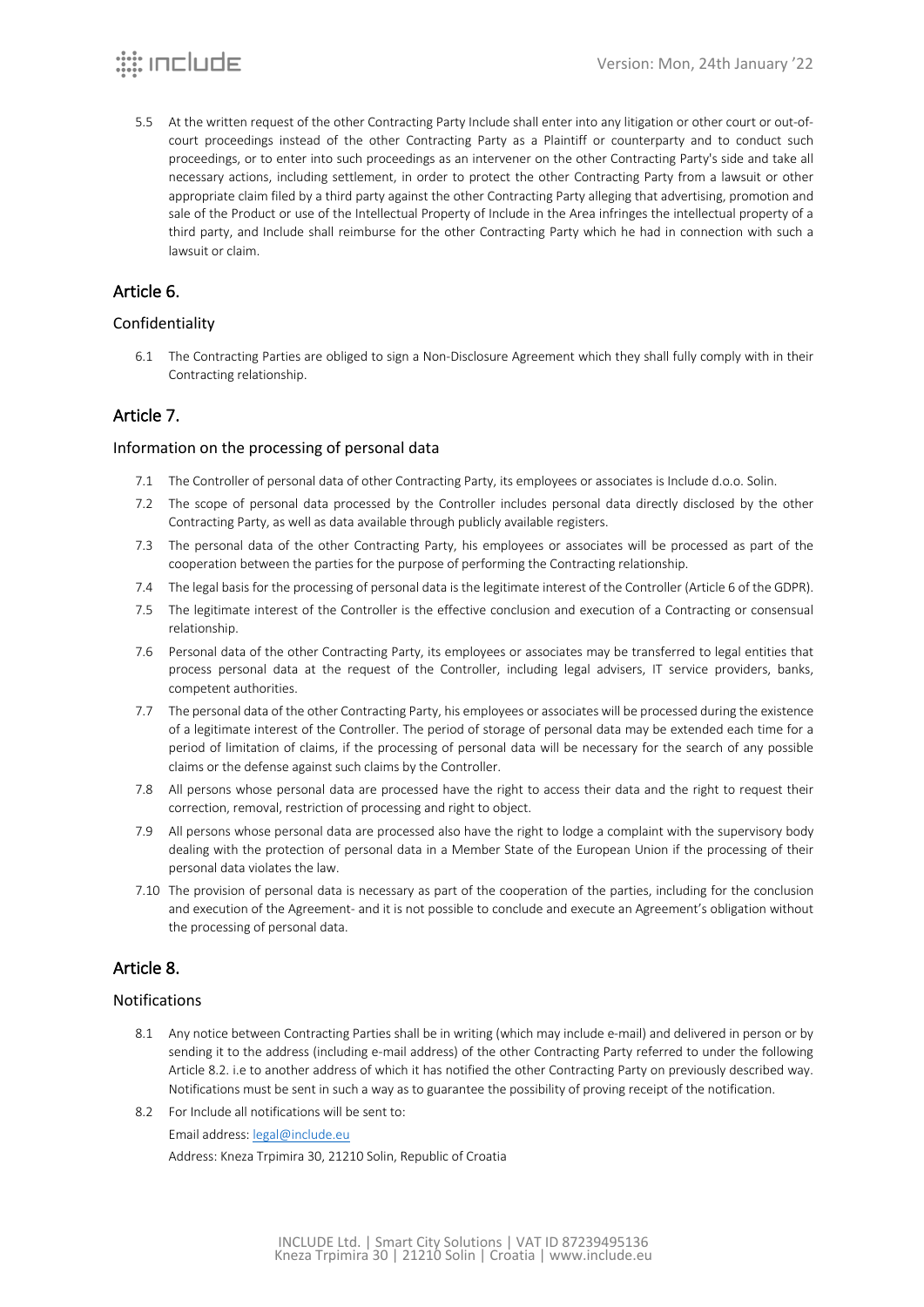5.5 At the written request of the other Contracting Party Include shall enter into any litigation or other court or out-ofcourt proceedings instead of the other Contracting Party as a Plaintiff or counterparty and to conduct such proceedings, or to enter into such proceedings as an intervener on the other Contracting Party's side and take all necessary actions, including settlement, in order to protect the other Contracting Party from a lawsuit or other appropriate claim filed by a third party against the other Contracting Party alleging that advertising, promotion and sale of the Product or use of the Intellectual Property of Include in the Area infringes the intellectual property of a third party, and Include shall reimburse for the other Contracting Party which he had in connection with such a lawsuit or claim.

## Article 6.

### Confidentiality

6.1 The Contracting Parties are obliged to sign a Non-Disclosure Agreement which they shall fully comply with in their Contracting relationship.

## Article 7.

#### Information on the processing of personal data

- 7.1 The Controller of personal data of other Contracting Party, its employees or associates is Include d.o.o. Solin.
- 7.2 The scope of personal data processed by the Controller includes personal data directly disclosed by the other Contracting Party, as well as data available through publicly available registers.
- 7.3 The personal data of the other Contracting Party, his employees or associates will be processed as part of the cooperation between the parties for the purpose of performing the Contracting relationship.
- 7.4 The legal basis for the processing of personal data is the legitimate interest of the Controller (Article 6 of the GDPR).
- 7.5 The legitimate interest of the Controller is the effective conclusion and execution of a Contracting or consensual relationship.
- 7.6 Personal data of the other Contracting Party, its employees or associates may be transferred to legal entities that process personal data at the request of the Controller, including legal advisers, IT service providers, banks, competent authorities.
- 7.7 The personal data of the other Contracting Party, his employees or associates will be processed during the existence of a legitimate interest of the Controller. The period of storage of personal data may be extended each time for a period of limitation of claims, if the processing of personal data will be necessary for the search of any possible claims or the defense against such claims by the Controller.
- 7.8 All persons whose personal data are processed have the right to access their data and the right to request their correction, removal, restriction of processing and right to object.
- 7.9 All persons whose personal data are processed also have the right to lodge a complaint with the supervisory body dealing with the protection of personal data in a Member State of the European Union if the processing of their personal data violates the law.
- 7.10 The provision of personal data is necessary as part of the cooperation of the parties, including for the conclusion and execution of the Agreement- and it is not possible to conclude and execute an Agreement's obligation without the processing of personal data.

## Article 8.

### Notifications

- 8.1 Any notice between Contracting Parties shall be in writing (which may include e-mail) and delivered in person or by sending it to the address (including e-mail address) of the other Contracting Party referred to under the following Article 8.2. i.e to another address of which it has notified the other Contracting Party on previously described way. Notifications must be sent in such a way as to guarantee the possibility of proving receipt of the notification.
- 8.2 For Include all notifications will be sent to:

Email address: legal@include.eu

Address: Kneza Trpimira 30, 21210 Solin, Republic of Croatia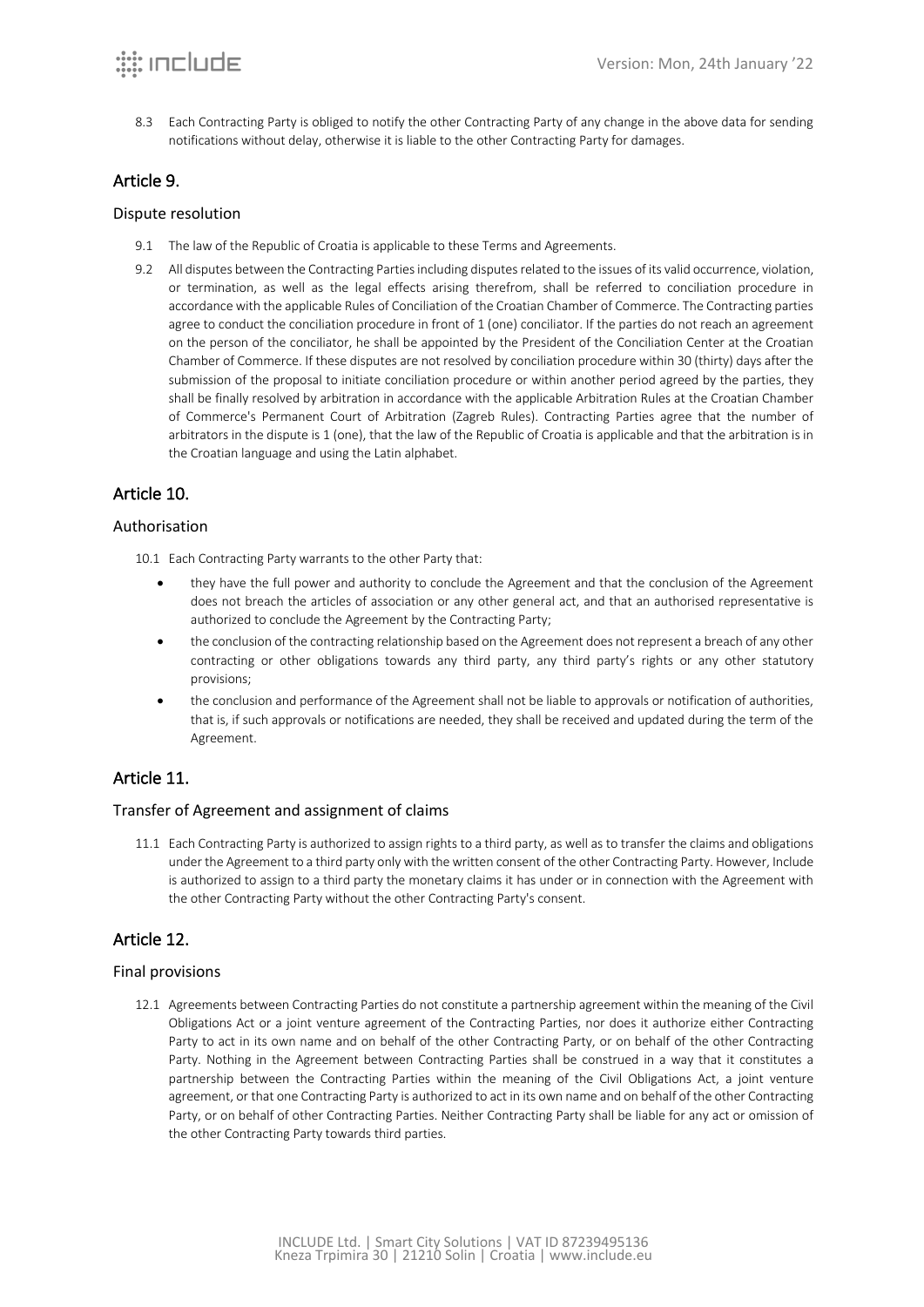8.3 Each Contracting Party is obliged to notify the other Contracting Party of any change in the above data for sending notifications without delay, otherwise it is liable to the other Contracting Party for damages.

## Article 9.

#### Dispute resolution

- 9.1 The law of the Republic of Croatia is applicable to these Terms and Agreements.
- 9.2 All disputes between the Contracting Parties including disputes related to the issues of its valid occurrence, violation, or termination, as well as the legal effects arising therefrom, shall be referred to conciliation procedure in accordance with the applicable Rules of Conciliation of the Croatian Chamber of Commerce. The Contracting parties agree to conduct the conciliation procedure in front of 1 (one) conciliator. If the parties do not reach an agreement on the person of the conciliator, he shall be appointed by the President of the Conciliation Center at the Croatian Chamber of Commerce. If these disputes are not resolved by conciliation procedure within 30 (thirty) days after the submission of the proposal to initiate conciliation procedure or within another period agreed by the parties, they shall be finally resolved by arbitration in accordance with the applicable Arbitration Rules at the Croatian Chamber of Commerce's Permanent Court of Arbitration (Zagreb Rules). Contracting Parties agree that the number of arbitrators in the dispute is 1 (one), that the law of the Republic of Croatia is applicable and that the arbitration is in the Croatian language and using the Latin alphabet.

## Article 10.

### Authorisation

- 10.1 Each Contracting Party warrants to the other Party that:
	- they have the full power and authority to conclude the Agreement and that the conclusion of the Agreement does not breach the articles of association or any other general act, and that an authorised representative is authorized to conclude the Agreement by the Contracting Party;
	- the conclusion of the contracting relationship based on the Agreement does not represent a breach of any other contracting or other obligations towards any third party, any third party's rights or any other statutory provisions;
	- the conclusion and performance of the Agreement shall not be liable to approvals or notification of authorities, that is, if such approvals or notifications are needed, they shall be received and updated during the term of the Agreement.

## Article 11.

### Transfer of Agreement and assignment of claims

11.1 Each Contracting Party is authorized to assign rights to a third party, as well as to transfer the claims and obligations under the Agreement to a third party only with the written consent of the other Contracting Party. However, Include is authorized to assign to a third party the monetary claims it has under or in connection with the Agreement with the other Contracting Party without the other Contracting Party's consent.

## Article 12.

### Final provisions

12.1 Agreements between Contracting Parties do not constitute a partnership agreement within the meaning of the Civil Obligations Act or a joint venture agreement of the Contracting Parties, nor does it authorize either Contracting Party to act in its own name and on behalf of the other Contracting Party, or on behalf of the other Contracting Party. Nothing in the Agreement between Contracting Parties shall be construed in a way that it constitutes a partnership between the Contracting Parties within the meaning of the Civil Obligations Act, a joint venture agreement, or that one Contracting Party is authorized to act in its own name and on behalf of the other Contracting Party, or on behalf of other Contracting Parties. Neither Contracting Party shall be liable for any act or omission of the other Contracting Party towards third parties.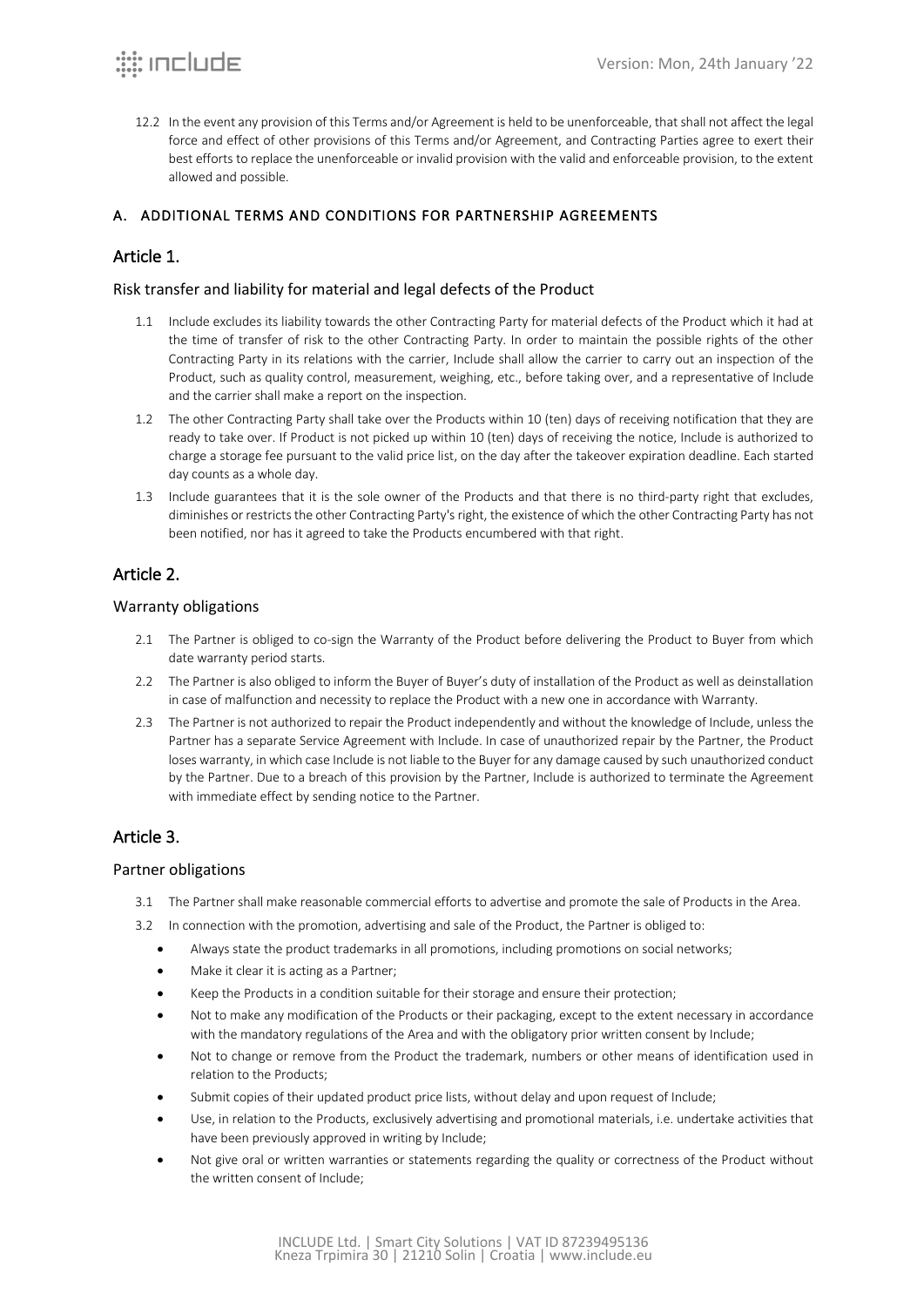12.2 In the event any provision of this Terms and/or Agreement is held to be unenforceable, that shall not affect the legal force and effect of other provisions of this Terms and/or Agreement, and Contracting Parties agree to exert their best efforts to replace the unenforceable or invalid provision with the valid and enforceable provision, to the extent allowed and possible.

## A. ADDITIONAL TERMS AND CONDITIONS FOR PARTNERSHIP AGREEMENTS

## Article 1.

### Risk transfer and liability for material and legal defects of the Product

- 1.1 Include excludes its liability towards the other Contracting Party for material defects of the Product which it had at the time of transfer of risk to the other Contracting Party. In order to maintain the possible rights of the other Contracting Party in its relations with the carrier, Include shall allow the carrier to carry out an inspection of the Product, such as quality control, measurement, weighing, etc., before taking over, and a representative of Include and the carrier shall make a report on the inspection.
- 1.2 The other Contracting Party shall take over the Products within 10 (ten) days of receiving notification that they are ready to take over. If Product is not picked up within 10 (ten) days of receiving the notice, Include is authorized to charge a storage fee pursuant to the valid price list, on the day after the takeover expiration deadline. Each started day counts as a whole day.
- 1.3 Include guarantees that it is the sole owner of the Products and that there is no third-party right that excludes, diminishes or restricts the other Contracting Party's right, the existence of which the other Contracting Party has not been notified, nor has it agreed to take the Products encumbered with that right.

## Article 2.

### Warranty obligations

- 2.1 The Partner is obliged to co-sign the Warranty of the Product before delivering the Product to Buyer from which date warranty period starts.
- 2.2 The Partner is also obliged to inform the Buyer of Buyer's duty of installation of the Product as well as deinstallation in case of malfunction and necessity to replace the Product with a new one in accordance with Warranty.
- 2.3 The Partner is not authorized to repair the Product independently and without the knowledge of Include, unless the Partner has a separate Service Agreement with Include. In case of unauthorized repair by the Partner, the Product loses warranty, in which case Include is not liable to the Buyer for any damage caused by such unauthorized conduct by the Partner. Due to a breach of this provision by the Partner, Include is authorized to terminate the Agreement with immediate effect by sending notice to the Partner.

## Article 3.

### Partner obligations

- 3.1 The Partner shall make reasonable commercial efforts to advertise and promote the sale of Products in the Area.
- 3.2 In connection with the promotion, advertising and sale of the Product, the Partner is obliged to:
	- Always state the product trademarks in all promotions, including promotions on social networks;
	- Make it clear it is acting as a Partner:
	- Keep the Products in a condition suitable for their storage and ensure their protection;
	- Not to make any modification of the Products or their packaging, except to the extent necessary in accordance with the mandatory regulations of the Area and with the obligatory prior written consent by Include;
	- Not to change or remove from the Product the trademark, numbers or other means of identification used in relation to the Products;
	- Submit copies of their updated product price lists, without delay and upon request of Include;
	- Use, in relation to the Products, exclusively advertising and promotional materials, i.e. undertake activities that have been previously approved in writing by Include;
	- Not give oral or written warranties or statements regarding the quality or correctness of the Product without the written consent of Include;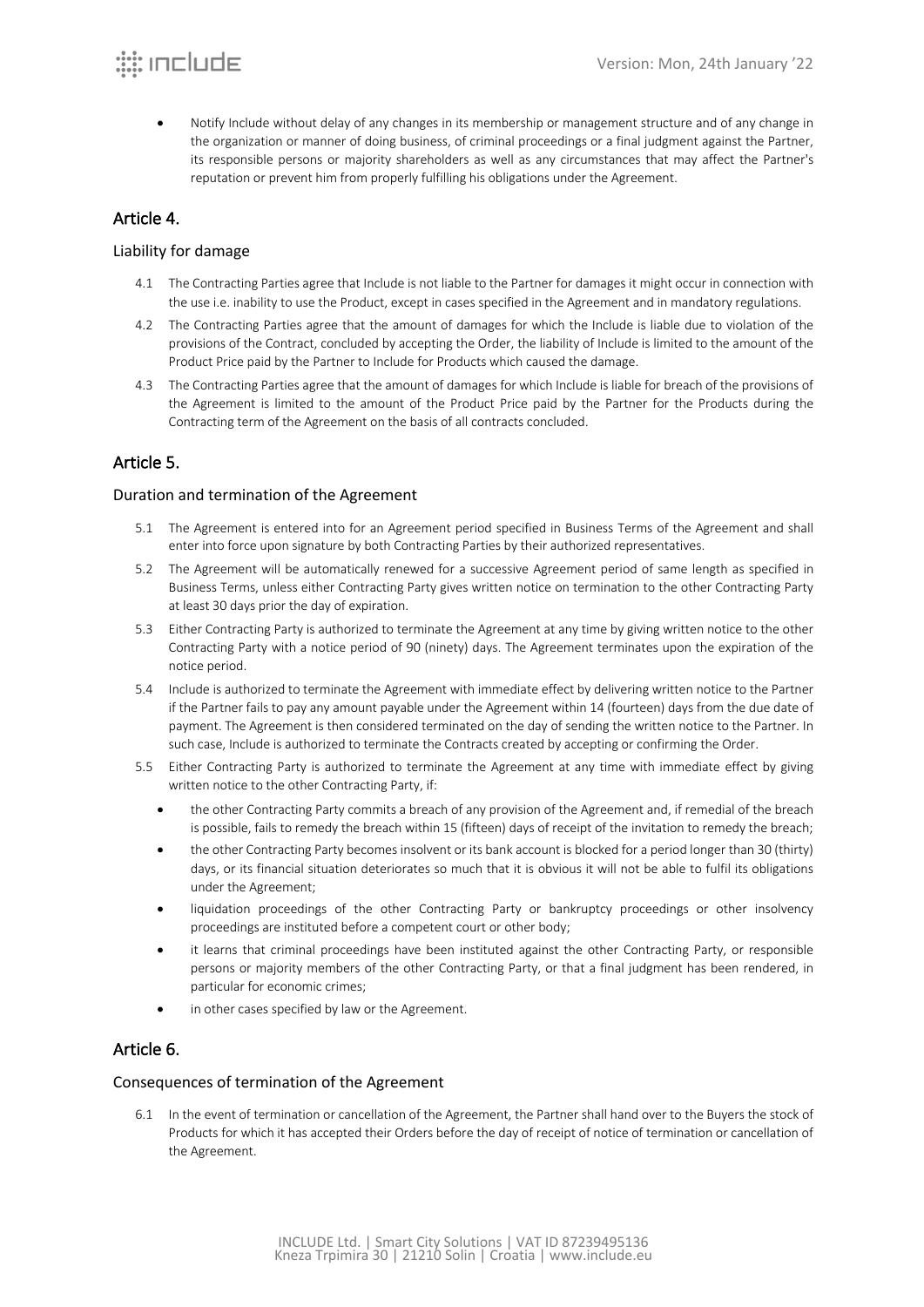• Notify Include without delay of any changes in its membership or management structure and of any change in the organization or manner of doing business, of criminal proceedings or a final judgment against the Partner, its responsible persons or majority shareholders as well as any circumstances that may affect the Partner's reputation or prevent him from properly fulfilling his obligations under the Agreement.

## Article 4.

### Liability for damage

- 4.1 The Contracting Parties agree that Include is not liable to the Partner for damages it might occur in connection with the use i.e. inability to use the Product, except in cases specified in the Agreement and in mandatory regulations.
- 4.2 The Contracting Parties agree that the amount of damages for which the Include is liable due to violation of the provisions of the Contract, concluded by accepting the Order, the liability of Include is limited to the amount of the Product Price paid by the Partner to Include for Products which caused the damage.
- 4.3 The Contracting Parties agree that the amount of damages for which Include is liable for breach of the provisions of the Agreement is limited to the amount of the Product Price paid by the Partner for the Products during the Contracting term of the Agreement on the basis of all contracts concluded.

## Article 5.

### Duration and termination of the Agreement

- 5.1 The Agreement is entered into for an Agreement period specified in Business Terms of the Agreement and shall enter into force upon signature by both Contracting Parties by their authorized representatives.
- 5.2 The Agreement will be automatically renewed for a successive Agreement period of same length as specified in Business Terms, unless either Contracting Party gives written notice on termination to the other Contracting Party at least 30 days prior the day of expiration.
- 5.3 Either Contracting Party is authorized to terminate the Agreement at any time by giving written notice to the other Contracting Party with a notice period of 90 (ninety) days. The Agreement terminates upon the expiration of the notice period.
- 5.4 Include is authorized to terminate the Agreement with immediate effect by delivering written notice to the Partner if the Partner fails to pay any amount payable under the Agreement within 14 (fourteen) days from the due date of payment. The Agreement is then considered terminated on the day of sending the written notice to the Partner. In such case, Include is authorized to terminate the Contracts created by accepting or confirming the Order.
- 5.5 Either Contracting Party is authorized to terminate the Agreement at any time with immediate effect by giving written notice to the other Contracting Party, if:
	- the other Contracting Party commits a breach of any provision of the Agreement and, if remedial of the breach is possible, fails to remedy the breach within 15 (fifteen) days of receipt of the invitation to remedy the breach;
	- the other Contracting Party becomes insolvent or its bank account is blocked for a period longer than 30 (thirty) days, or its financial situation deteriorates so much that it is obvious it will not be able to fulfil its obligations under the Agreement;
	- liquidation proceedings of the other Contracting Party or bankruptcy proceedings or other insolvency proceedings are instituted before a competent court or other body;
	- it learns that criminal proceedings have been instituted against the other Contracting Party, or responsible persons or majority members of the other Contracting Party, or that a final judgment has been rendered, in particular for economic crimes;
	- in other cases specified by law or the Agreement.

## Article 6.

### Consequences of termination of the Agreement

6.1 In the event of termination or cancellation of the Agreement, the Partner shall hand over to the Buyers the stock of Products for which it has accepted their Orders before the day of receipt of notice of termination or cancellation of the Agreement.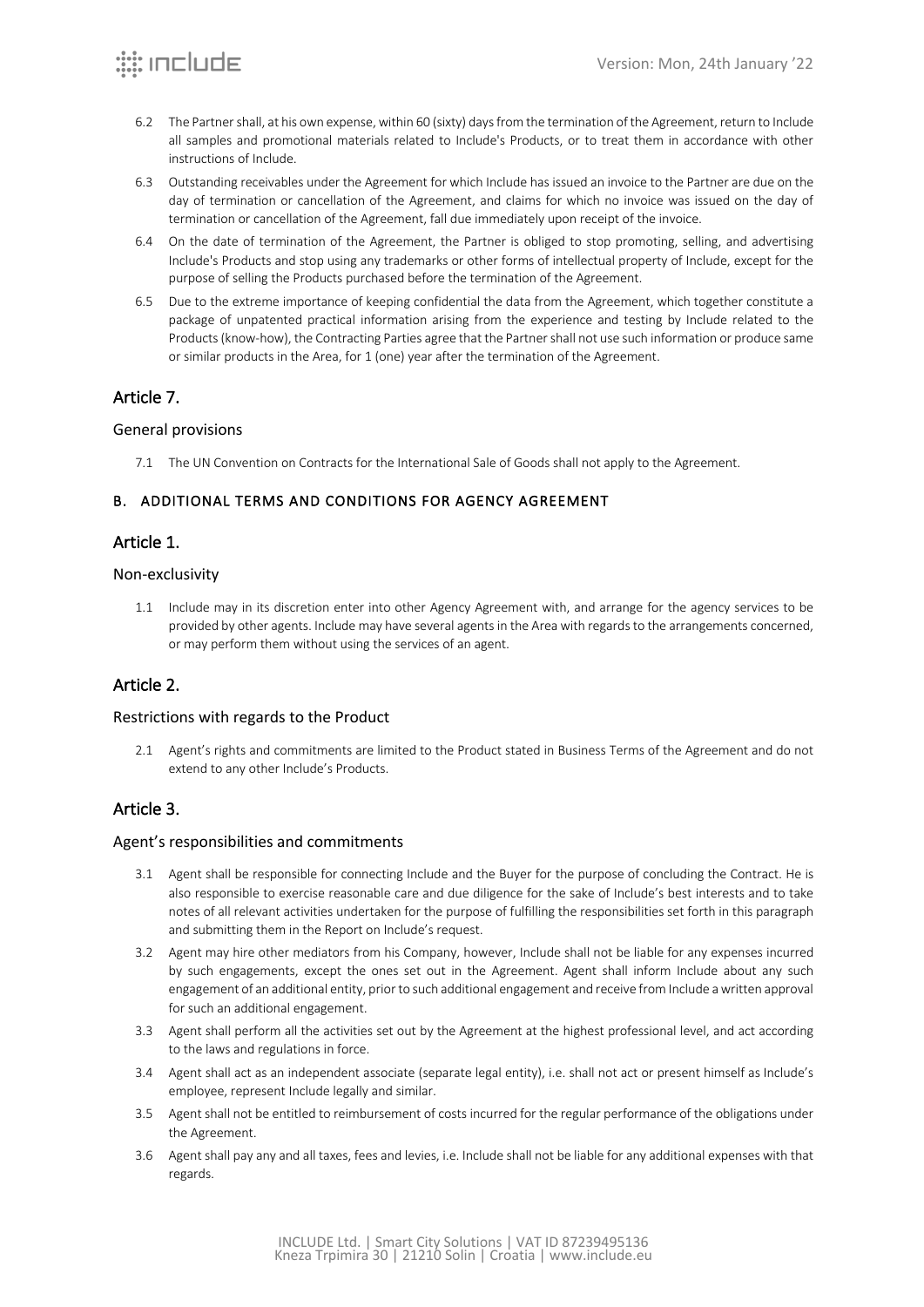- 6.2 The Partner shall, at his own expense, within 60 (sixty) days from the termination of the Agreement, return to Include all samples and promotional materials related to Include's Products, or to treat them in accordance with other instructions of Include.
- 6.3 Outstanding receivables under the Agreement for which Include has issued an invoice to the Partner are due on the day of termination or cancellation of the Agreement, and claims for which no invoice was issued on the day of termination or cancellation of the Agreement, fall due immediately upon receipt of the invoice.
- 6.4 On the date of termination of the Agreement, the Partner is obliged to stop promoting, selling, and advertising Include's Products and stop using any trademarks or other forms of intellectual property of Include, except for the purpose of selling the Products purchased before the termination of the Agreement.
- 6.5 Due to the extreme importance of keeping confidential the data from the Agreement, which together constitute a package of unpatented practical information arising from the experience and testing by Include related to the Products (know-how), the Contracting Parties agree that the Partner shall not use such information or produce same or similar products in the Area, for 1 (one) year after the termination of the Agreement.

## Article 7.

### General provisions

7.1 The UN Convention on Contracts for the International Sale of Goods shall not apply to the Agreement.

## B. ADDITIONAL TERMS AND CONDITIONS FOR AGENCY AGREEMENT

### Article 1.

#### Non-exclusivity

1.1 Include may in its discretion enter into other Agency Agreement with, and arrange for the agency services to be provided by other agents. Include may have several agents in the Area with regards to the arrangements concerned, or may perform them without using the services of an agent.

## Article 2.

### Restrictions with regards to the Product

2.1 Agent's rights and commitments are limited to the Product stated in Business Terms of the Agreement and do not extend to any other Include's Products.

## Article 3.

### Agent's responsibilities and commitments

- 3.1 Agent shall be responsible for connecting Include and the Buyer for the purpose of concluding the Contract. He is also responsible to exercise reasonable care and due diligence for the sake of Include's best interests and to take notes of all relevant activities undertaken for the purpose of fulfilling the responsibilities set forth in this paragraph and submitting them in the Report on Include's request.
- 3.2 Agent may hire other mediators from his Company, however, Include shall not be liable for any expenses incurred by such engagements, except the ones set out in the Agreement. Agent shall inform Include about any such engagement of an additional entity, prior to such additional engagement and receive from Include a written approval for such an additional engagement.
- 3.3 Agent shall perform all the activities set out by the Agreement at the highest professional level, and act according to the laws and regulations in force.
- 3.4 Agent shall act as an independent associate (separate legal entity), i.e. shall not act or present himself as Include's employee, represent Include legally and similar.
- 3.5 Agent shall not be entitled to reimbursement of costs incurred for the regular performance of the obligations under the Agreement.
- 3.6 Agent shall pay any and all taxes, fees and levies, i.e. Include shall not be liable for any additional expenses with that regards.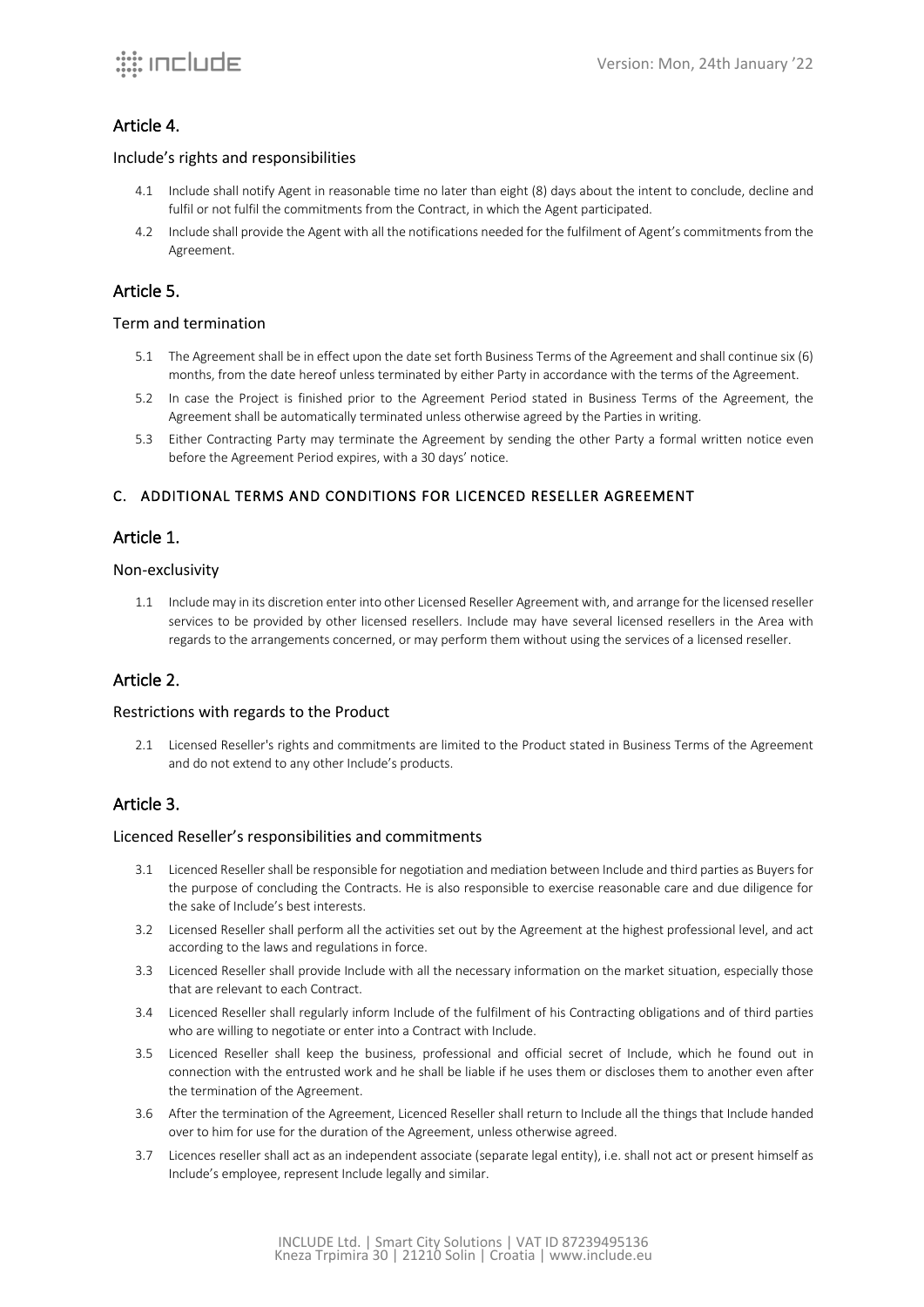## Article 4.

#### Include's rights and responsibilities

- 4.1 Include shall notify Agent in reasonable time no later than eight (8) days about the intent to conclude, decline and fulfil or not fulfil the commitments from the Contract, in which the Agent participated.
- 4.2 Include shall provide the Agent with all the notifications needed for the fulfilment of Agent's commitments from the Agreement.

### Article 5.

#### Term and termination

- 5.1 The Agreement shall be in effect upon the date set forth Business Terms of the Agreement and shall continue six (6) months, from the date hereof unless terminated by either Party in accordance with the terms of the Agreement.
- 5.2 In case the Project is finished prior to the Agreement Period stated in Business Terms of the Agreement, the Agreement shall be automatically terminated unless otherwise agreed by the Parties in writing.
- 5.3 Either Contracting Party may terminate the Agreement by sending the other Party a formal written notice even before the Agreement Period expires, with a 30 days' notice.

### C. ADDITIONAL TERMS AND CONDITIONS FOR LICENCED RESELLER AGREEMENT

## Article 1.

#### Non-exclusivity

1.1 Include may in its discretion enter into other Licensed Reseller Agreement with, and arrange for the licensed reseller services to be provided by other licensed resellers. Include may have several licensed resellers in the Area with regards to the arrangements concerned, or may perform them without using the services of a licensed reseller.

### Article 2.

#### Restrictions with regards to the Product

2.1 Licensed Reseller's rights and commitments are limited to the Product stated in Business Terms of the Agreement and do not extend to any other Include's products.

### Article 3.

#### Licenced Reseller's responsibilities and commitments

- 3.1 Licenced Reseller shall be responsible for negotiation and mediation between Include and third parties as Buyers for the purpose of concluding the Contracts. He is also responsible to exercise reasonable care and due diligence for the sake of Include's best interests.
- 3.2 Licensed Reseller shall perform all the activities set out by the Agreement at the highest professional level, and act according to the laws and regulations in force.
- 3.3 Licenced Reseller shall provide Include with all the necessary information on the market situation, especially those that are relevant to each Contract.
- 3.4 Licenced Reseller shall regularly inform Include of the fulfilment of his Contracting obligations and of third parties who are willing to negotiate or enter into a Contract with Include.
- 3.5 Licenced Reseller shall keep the business, professional and official secret of Include, which he found out in connection with the entrusted work and he shall be liable if he uses them or discloses them to another even after the termination of the Agreement.
- 3.6 After the termination of the Agreement, Licenced Reseller shall return to Include all the things that Include handed over to him for use for the duration of the Agreement, unless otherwise agreed.
- 3.7 Licences reseller shall act as an independent associate (separate legal entity), i.e. shall not act or present himself as Include's employee, represent Include legally and similar.